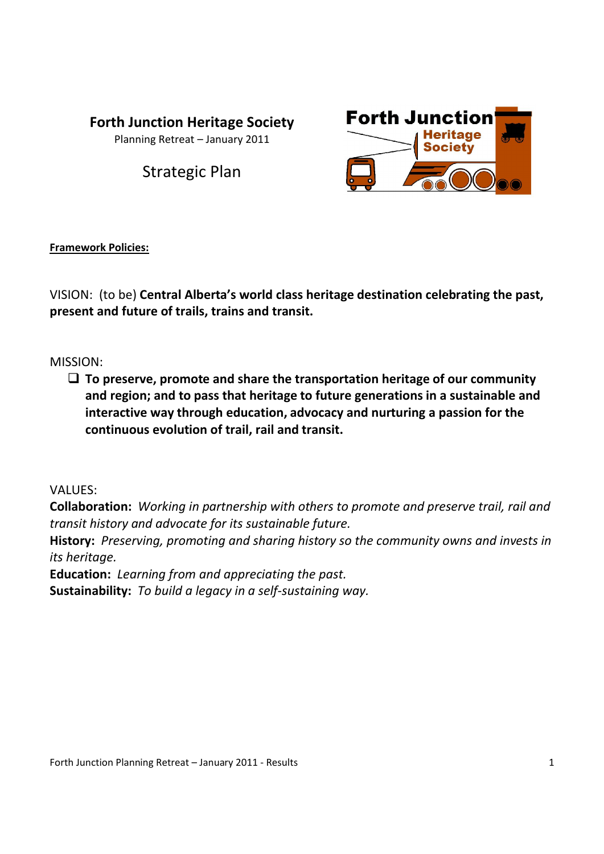# **Forth Junction Heritage Society**

Planning Retreat – January 2011

Strategic Plan



# **Framework Policies:**

VISION: (to be) **Central Alberta's world class heritage destination celebrating the past, present and future of trails, trains and transit.**

# MISSION:

 **To preserve, promote and share the transportation heritage of our community and region; and to pass that heritage to future generations in a sustainable and interactive way through education, advocacy and nurturing a passion for the continuous evolution of trail, rail and transit.**

## VALUES:

**Collaboration:** *Working in partnership with others to promote and preserve trail, rail and transit history and advocate for its sustainable future.*

**History:** *Preserving, promoting and sharing history so the community owns and invests in its heritage.*

**Education:** *Learning from and appreciating the past.*

**Sustainability:** *To build a legacy in a self-sustaining way.*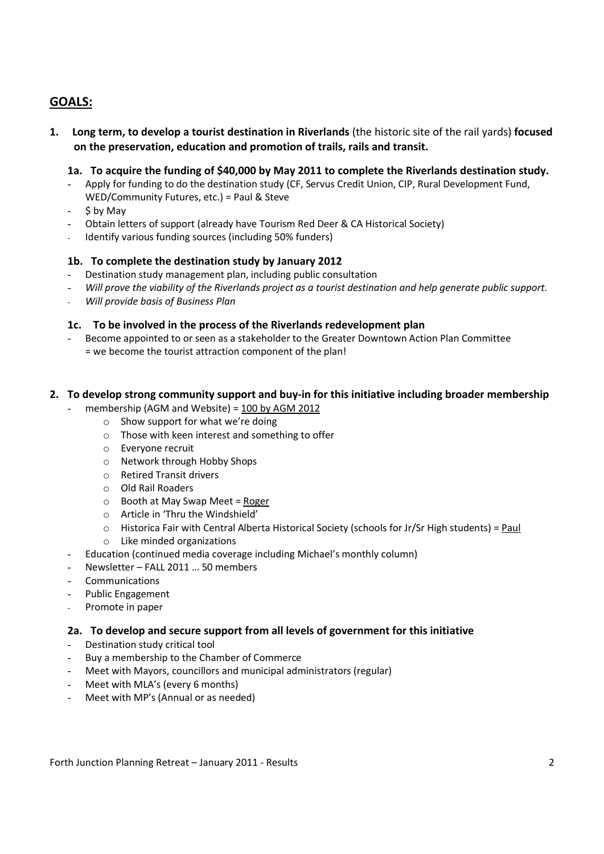## **GOALS:**

**1. Long term, to develop a tourist destination in Riverlands** (the historic site of the rail yards) **focused on the preservation, education and promotion of trails, rails and transit.**

### **1a. To acquire the funding of \$40,000 by May 2011 to complete the Riverlands destination study.**

- Apply for funding to do the destination study (CF, Servus Credit Union, CIP, Rural Development Fund, WED/Community Futures, etc.) = Paul & Steve
- \$ by May
- Obtain letters of support (already have Tourism Red Deer & CA Historical Society)
- Identify various funding sources (including 50% funders)

#### **1b. To complete the destination study by January 2012**

- Destination study management plan, including public consultation
- *Will prove the viability of the Riverlands project as a tourist destination and help generate public support.*
- *Will provide basis of Business Plan*

#### **1c. To be involved in the process of the Riverlands redevelopment plan**

- Become appointed to or seen as a stakeholder to the Greater Downtown Action Plan Committee = we become the tourist attraction component of the plan!

#### **2. To develop strong community support and buy-in for this initiative including broader membership**

membership (AGM and Website) =  $100$  by AGM 2012

- o Show support for what we're doing
	- o Those with keen interest and something to offer
	- o Everyone recruit
	- o Network through Hobby Shops
	- o Retired Transit drivers
- o Old Rail Roaders
- $\circ$  Booth at May Swap Meet = Roger
- o Article in 'Thru the Windshield'
- $\circ$  Historica Fair with Central Alberta Historical Society (schools for Jr/Sr High students) = Paul
- o Like minded organizations
- Education (continued media coverage including Michael's monthly column)
- Newsletter FALL 2011 ... 50 members
- **Communications**
- Public Engagement
- Promote in paper

#### **2a. To develop and secure support from all levels of government for this initiative**

- Destination study critical tool
- Buy a membership to the Chamber of Commerce
- Meet with Mayors, councillors and municipal administrators (regular)
- Meet with MLA's (every 6 months)
- Meet with MP's (Annual or as needed)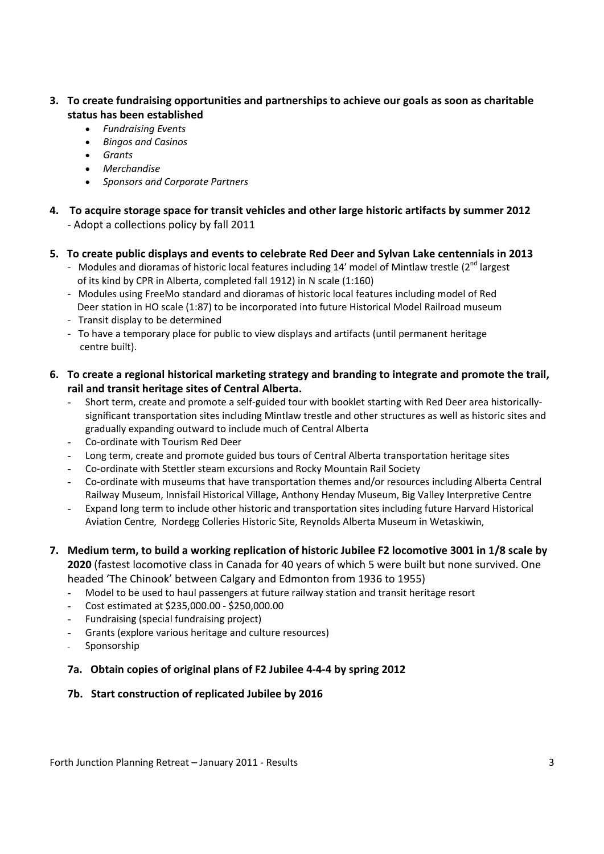- **3. To create fundraising opportunities and partnerships to achieve our goals as soon as charitable status has been established**
	- *Fundraising Events*
	- *Bingos and Casinos*
	- *Grants*
	- *Merchandise*
	- *Sponsors and Corporate Partners*
- **4. To acquire storage space for transit vehicles and other large historic artifacts by summer 2012** - Adopt a collections policy by fall 2011
- **5. To create public displays and events to celebrate Red Deer and Sylvan Lake centennials in 2013**
	- Modules and dioramas of historic local features including 14' model of Mintlaw trestle (2<sup>nd</sup> largest of its kind by CPR in Alberta, completed fall 1912) in N scale (1:160)
	- Modules using FreeMo standard and dioramas of historic local features including model of Red Deer station in HO scale (1:87) to be incorporated into future Historical Model Railroad museum
	- Transit display to be determined
	- To have a temporary place for public to view displays and artifacts (until permanent heritage centre built).
- **6. To create a regional historical marketing strategy and branding to integrate and promote the trail, rail and transit heritage sites of Central Alberta.**
	- Short term, create and promote a self-guided tour with booklet starting with Red Deer area historicallysignificant transportation sites including Mintlaw trestle and other structures as well as historic sites and gradually expanding outward to include much of Central Alberta
	- Co-ordinate with Tourism Red Deer
	- Long term, create and promote guided bus tours of Central Alberta transportation heritage sites
	- Co-ordinate with Stettler steam excursions and Rocky Mountain Rail Society
	- Co-ordinate with museums that have transportation themes and/or resources including Alberta Central Railway Museum, Innisfail Historical Village, Anthony Henday Museum, Big Valley Interpretive Centre
	- Expand long term to include other historic and transportation sites including future Harvard Historical Aviation Centre, Nordegg Colleries Historic Site, Reynolds Alberta Museum in Wetaskiwin,
- **7. Medium term, to build a working replication of historic Jubilee F2 locomotive 3001 in 1/8 scale by 2020** (fastest locomotive class in Canada for 40 years of which 5 were built but none survived. One

headed 'The Chinook' between Calgary and Edmonton from 1936 to 1955)

- Model to be used to haul passengers at future railway station and transit heritage resort
- Cost estimated at \$235,000.00 \$250,000.00
- Fundraising (special fundraising project)
- Grants (explore various heritage and culture resources)
- Sponsorship

### **7a. Obtain copies of original plans of F2 Jubilee 4-4-4 by spring 2012**

### **7b. Start construction of replicated Jubilee by 2016**